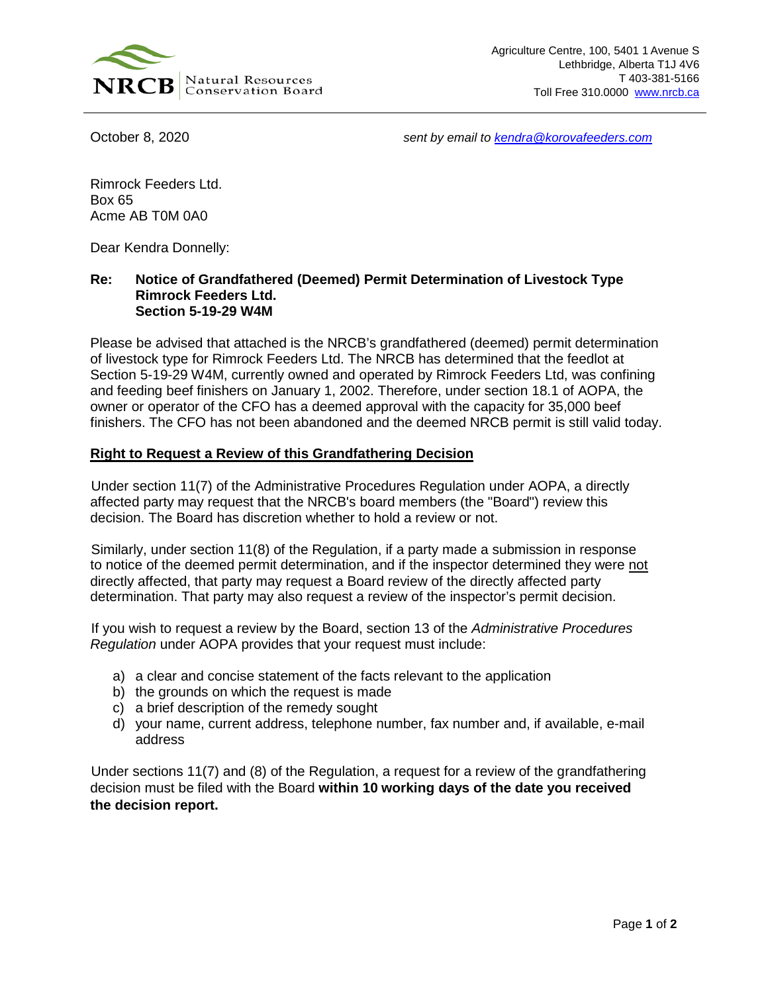

October 8, 2020 *sent by email to [kendra@korovafeeders.com](mailto:kendra@korovafeeders.com)*

Rimrock Feeders Ltd. Box 65 Acme AB T0M 0A0

Dear Kendra Donnelly:

## **Re: Notice of Grandfathered (Deemed) Permit Determination of Livestock Type Rimrock Feeders Ltd. Section 5-19-29 W4M**

Please be advised that attached is the NRCB's grandfathered (deemed) permit determination of livestock type for Rimrock Feeders Ltd. The NRCB has determined that the feedlot at Section 5-19-29 W4M, currently owned and operated by Rimrock Feeders Ltd, was confining and feeding beef finishers on January 1, 2002. Therefore, under section 18.1 of AOPA, the owner or operator of the CFO has a deemed approval with the capacity for 35,000 beef finishers. The CFO has not been abandoned and the deemed NRCB permit is still valid today.

## **Right to Request a Review of this Grandfathering Decision**

Under section 11(7) of the Administrative Procedures Regulation under AOPA, a directly affected party may request that the NRCB's board members (the "Board") review this decision. The Board has discretion whether to hold a review or not.

Similarly, under section 11(8) of the Regulation, if a party made a submission in response to notice of the deemed permit determination, and if the inspector determined they were not directly affected, that party may request a Board review of the directly affected party determination. That party may also request a review of the inspector's permit decision.

If you wish to request a review by the Board, section 13 of the *Administrative Procedures Regulation* under AOPA provides that your request must include:

- a) a clear and concise statement of the facts relevant to the application
- b) the grounds on which the request is made
- c) a brief description of the remedy sought
- d) your name, current address, telephone number, fax number and, if available, e-mail address

Under sections 11(7) and (8) of the Regulation, a request for a review of the grandfathering decision must be filed with the Board **within 10 working days of the date you received the decision report.**